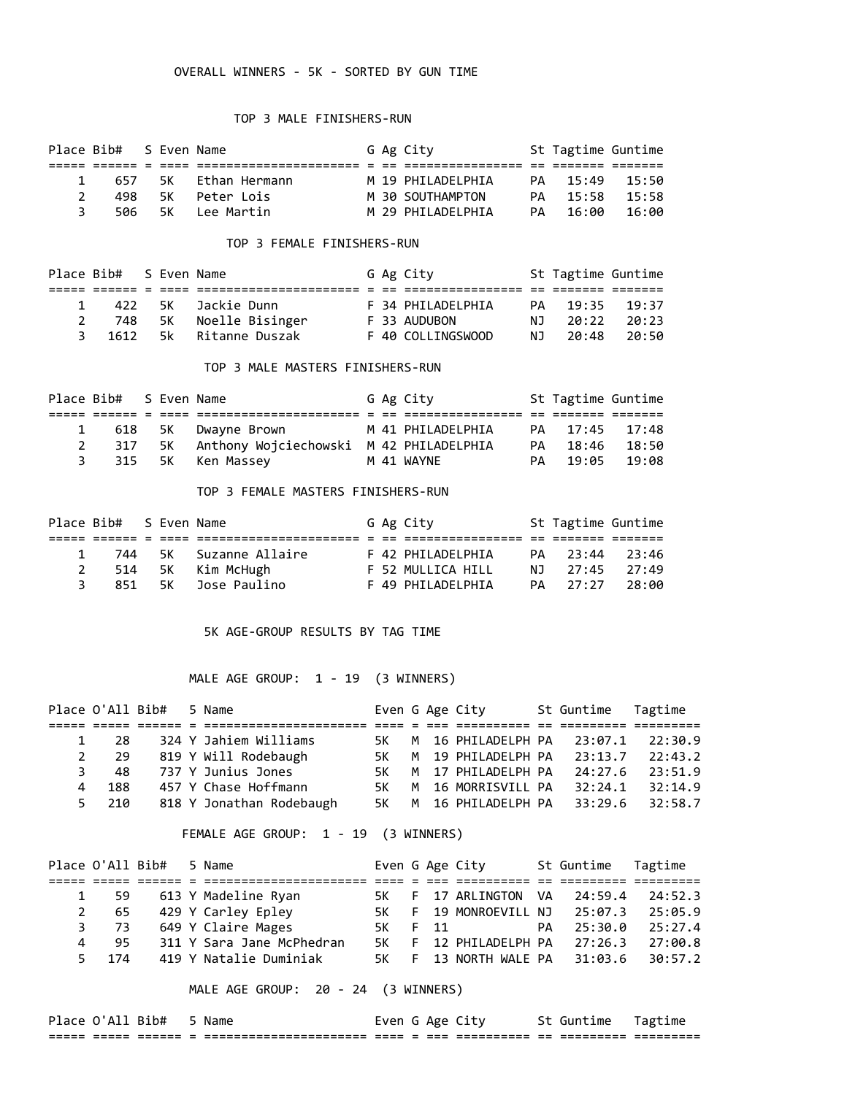### OVERALL WINNERS - 5K - SORTED BY GUN TIME

### TOP 3 MALE FINISHERS-RUN

|               | Place Bib# S Even Name |  |                        |  | G Ag City         | St Tagtime Guntime |       |
|---------------|------------------------|--|------------------------|--|-------------------|--------------------|-------|
|               |                        |  |                        |  |                   |                    |       |
|               |                        |  | 1 657 5K Ethan Hermann |  | M 19 PHTIADFIPHTA | PA 15:49           | 15:50 |
| $\mathcal{P}$ | 498                    |  | - 5K - Peter Lois      |  | M 30 SOUTHAMPTON  | PA 15:58           | 15:58 |
| 3.            |                        |  | 506 5K Lee Martin      |  | M 29 PHTIADFIPHTA | PA 16:00           | 16:00 |

### TOP 3 FEMALE FINISHERS-RUN

|    | Place Bib# S Even Name |  |                     |  | G Ag City         |      | St Tagtime Guntime |        |
|----|------------------------|--|---------------------|--|-------------------|------|--------------------|--------|
|    |                        |  |                     |  |                   |      |                    |        |
|    |                        |  | 422 SK Jackie Dunn  |  | F 34 PHILADELPHIA |      | PA 19:35           | 19:37  |
| 2  | 748                    |  | 5K Noelle Bisinger  |  | F 33 AUDUBON      | NJ.  | 20:22              | -20:23 |
| 3. | 1612                   |  | 5k – Ritanne Duszak |  | F 40 COLLINGSWOOD | NJ 1 | 20:48              | 20:50  |

### TOP 3 MALE MASTERS FINISHERS-RUN

|   | Place Bib# S Even Name |  |                                            |  | G Ag City         | St Tagtime Guntime |  |
|---|------------------------|--|--------------------------------------------|--|-------------------|--------------------|--|
|   |                        |  |                                            |  |                   |                    |  |
|   |                        |  | 618 5K Dwayne Brown                        |  | M 41 PHILADELPHIA | PA 17:45 17:48     |  |
|   | 317                    |  | 5K Anthony Wojciechowski M 42 PHILADELPHIA |  |                   | PA 18:46 18:50     |  |
| 3 |                        |  | 315 5K Ken-Massey                          |  | M 41 WAYNE        | PA 19:05 19:08     |  |

#### TOP 3 FEMALE MASTERS FINISHERS-RUN

|   | Place Bib# S Even Name |  |                         |  | G Ag City         | St Tagtime Guntime |       |
|---|------------------------|--|-------------------------|--|-------------------|--------------------|-------|
|   |                        |  |                         |  |                   |                    |       |
|   |                        |  | 744 5K Suzanne Allaire  |  | F 42 PHILADELPHIA | PA 23:44 23:46     |       |
| 2 |                        |  | 514 5K Kim McHugh       |  | F 52 MULLICA HILL | NJ 27:45           | 27:49 |
|   |                        |  | 851 – 5K – Jose Paulino |  | F 49 PHILADELPHIA | PA 27:27           | 28:00 |

### 5K AGE-GROUP RESULTS BY TAG TIME

# MALE AGE GROUP: 1 - 19 (3 WINNERS)

|              | Place O'All Bib# |  | 5 Name                   | Even G Age City |  |                               | St Guntime Tagtime |         |
|--------------|------------------|--|--------------------------|-----------------|--|-------------------------------|--------------------|---------|
|              |                  |  |                          |                 |  |                               |                    |         |
| $\mathbf{1}$ | 28               |  | 324 Y Jahiem Williams    | 5K -            |  | M 16 PHILADELPH PA 23:07.1    |                    | 22:30.9 |
| $2^{\circ}$  | -29              |  | 819 Y Will Rodebaugh     | 5K -            |  | M 19 PHILADELPH PA 23:13.7    |                    | 22:43.2 |
| 3            | 48               |  | 737 Y Junius Jones       | 5K -            |  | M 17 PHILADELPH PA            | 24:27.6            | 23:51.9 |
| 4            | 188              |  | 457 Y Chase Hoffmann     | 5K -            |  | M 16 MORRISVILL PA            | 32:24.1            | 32:14.9 |
|              | 210<br>5.        |  | 818 Y Jonathan Rodebaugh |                 |  | 5K M 16 PHILADELPH PA 33:29.6 |                    | 32:58.7 |

### FEMALE AGE GROUP: 1 - 19 (3 WINNERS)

|   |       | Place O'All Bib# | 5 Name                    |  | Even G Age City               | St Guntime Tagtime |         |
|---|-------|------------------|---------------------------|--|-------------------------------|--------------------|---------|
|   |       |                  |                           |  |                               |                    |         |
|   |       |                  | 1 59 613 Y Madeline Ryan  |  | 5K F 17 ARLINGTON VA 24:59.4  |                    | 24:52.3 |
|   |       |                  | 2 65 429 Y Carley Epley   |  | 5K F 19 MONROEVILL NJ 25:07.3 |                    | 25:05.9 |
|   | 3 73  |                  | 649 Y Claire Mages        |  | 5K F 11                       | PA 25:30.0         | 25:27.4 |
| 4 | 95.   |                  | 311 Y Sara Jane McPhedran |  | 5K F 12 PHILADELPH PA 27:26.3 |                    | 27:00.8 |
|   | 5 174 |                  | 419 Y Natalie Duminiak    |  | 5K F 13 NORTH WALE PA 31:03.6 |                    | 30:57.2 |

MALE AGE GROUP: 20 - 24 (3 WINNERS)

| Place O'All Bib# |        |                    |                          | Name                                             | Even G Age City |             |            |    | Guntime                | Tagtime                 |
|------------------|--------|--------------------|--------------------------|--------------------------------------------------|-----------------|-------------|------------|----|------------------------|-------------------------|
| _____<br>_____   | ------ | _______<br>------- | $\overline{\phantom{a}}$ | ----------------------<br>---------------------- | ----            | ___<br>---- | __________ | __ | ---------<br>--------- | _________<br>---------- |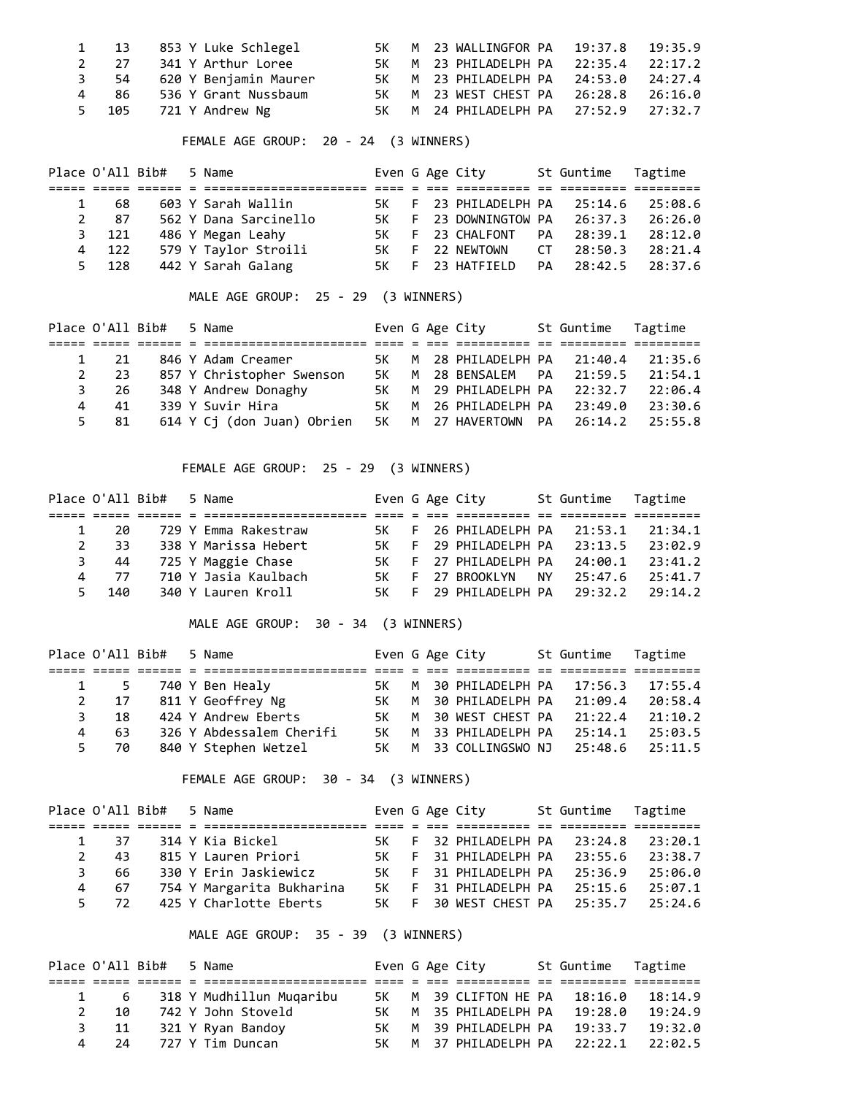|  | 1 13 853 Y Luke Schlegel   |  | 5K M 23 WALLINGFOR PA 19:37.8 19:35.9 |  |
|--|----------------------------|--|---------------------------------------|--|
|  | 2 27 341 Y Arthur Loree    |  | 5K M 23 PHILADELPH PA 22:35.4 22:17.2 |  |
|  | 3 54 620 Y Benjamin Maurer |  | 5K M 23 PHILADELPH PA 24:53.0 24:27.4 |  |
|  | 4 86 536 Y Grant Nussbaum  |  | 5K M 23 WEST CHEST PA 26:28.8 26:16.0 |  |
|  | 5 105 721 Y Andrew Ng      |  | 5K M 24 PHILADELPH PA 27:52.9 27:32.7 |  |

FEMALE AGE GROUP: 20 - 24 (3 WINNERS)

|       | Place O'All Bib# | 5 Name                |  | Even G Age City               | St Guntime Tagtime |         |
|-------|------------------|-----------------------|--|-------------------------------|--------------------|---------|
|       |                  |                       |  |                               |                    |         |
| 68    |                  | 603 Y Sarah Wallin    |  | 5K F 23 PHILADELPH PA 25:14.6 |                    | 25:08.6 |
| 2 87  |                  | 562 Y Dana Sarcinello |  | 5K F 23 DOWNINGTOW PA 26:37.3 |                    | 26:26.0 |
| 3 121 |                  | 486 Y Megan Leahy     |  | 5K F 23 CHALFONT PA           | 28:39.1            | 28:12.0 |
| 4 122 |                  | 579 Y Taylor Stroili  |  | 5K F 22 NEWTOWN               | CT 28:50.3         | 28:21.4 |
| 5 128 |                  | 442 Y Sarah Galang    |  | 5K F 23 HATFIELD              | PA 28:42.5         | 28:37.6 |

MALE AGE GROUP: 25 - 29 (3 WINNERS)

|             |         | Place O'All Bib# | 5 Name                     |      |  | Even G Age City                      | St Guntime Tagtime |         |
|-------------|---------|------------------|----------------------------|------|--|--------------------------------------|--------------------|---------|
|             |         |                  |                            |      |  |                                      |                    |         |
|             | - 21    |                  | 846 Y Adam Creamer         | 5K - |  | M 28 PHILADELPH PA 21:40.4 21:35.6   |                    |         |
| $2^{\circ}$ | 23      |                  | 857 Y Christopher Swenson  | 5K - |  | M 28 BENSALEM PA 21:59.5             |                    | 21:54.1 |
| 3           | 26      |                  | 348 Y Andrew Donaghy       |      |  | 5K M 29 PHILADELPH PA 22:32.7        |                    | 22:06.4 |
| 4           | 41      |                  | 339 Y Suvir Hira           | 5K - |  | M 26 PHILADELPH PA 23:49.0           |                    | 23:30.6 |
|             | 81<br>5 |                  | 614 Y Ci (don Juan) Obrien |      |  | 5K M 27 HAVERTOWN PA 26:14.2 25:55.8 |                    |         |

FEMALE AGE GROUP: 25 - 29 (3 WINNERS)

|              |                      | Place O'All Bib# | 5 Name               |      |  | Even G Age City               |       | St Guntime Tagtime |         |
|--------------|----------------------|------------------|----------------------|------|--|-------------------------------|-------|--------------------|---------|
|              |                      |                  |                      |      |  |                               |       |                    |         |
|              | 20                   |                  | 729 Y Emma Rakestraw |      |  | 5K F 26 PHILADELPH PA 21:53.1 |       |                    | 21:34.1 |
| $\mathbf{2}$ | 33.                  |                  | 338 Y Marissa Hebert |      |  | 5K F 29 PHILADELPH PA 23:13.5 |       |                    | 23:02.9 |
| 3            | 44                   |                  | 725 Y Maggie Chase   |      |  | 5K F 27 PHILADELPH PA         |       | 24:00.1            | 23:41.2 |
|              | $\overline{4}$<br>77 |                  | 710 Y Jasia Kaulbach | 5K - |  | F 27 BROOKLYN                 | NY NY | 25:47.6            | 25:41.7 |
|              | 5 140                |                  | 340 Y Lauren Kroll   |      |  | 5K F 29 PHILADELPH PA 29:32.2 |       |                    | 29:14.2 |

MALE AGE GROUP: 30 - 34 (3 WINNERS)

|                |      | Place O'All Bib# | 5 Name                   |      |  | Even G Age City                       | St Guntime Tagtime |         |
|----------------|------|------------------|--------------------------|------|--|---------------------------------------|--------------------|---------|
|                |      |                  |                          |      |  |                                       |                    |         |
|                | 1 5  |                  | 740 Y Ben Healy          | 5K - |  | M 30 PHILADELPH PA 17:56.3            |                    | 17:55.4 |
| $\overline{2}$ | 17   |                  | 811 Y Geoffrey Ng        | 5K - |  | M 30 PHILADELPH PA 21:09.4            |                    | 20:58.4 |
| 3              | 18   |                  | 424 Y Andrew Eberts      |      |  | 5K M 30 WEST CHEST PA 21:22.4         |                    | 21:10.2 |
| 4              | -63  |                  | 326 Y Abdessalem Cherifi | 5K - |  | M 33 PHILADELPH PA                    | 25:14.1            | 25:03.5 |
|                | 5 70 |                  | 840 Y Stephen Wetzel     |      |  | 5K M 33 COLLINGSWO NJ 25:48.6 25:11.5 |                    |         |

FEMALE AGE GROUP: 30 - 34 (3 WINNERS)

|              |                     | Place O'All Bib# 5 Name |                           |  | Even G Age City               | St Guntime Tagtime |         |
|--------------|---------------------|-------------------------|---------------------------|--|-------------------------------|--------------------|---------|
|              |                     |                         |                           |  |                               |                    |         |
|              | -37<br>$\mathbf{1}$ |                         | 314 Y Kia Bickel          |  | 5K F 32 PHILADELPH PA 23:24.8 |                    | 23:20.1 |
| $\mathbf{2}$ | 43                  |                         | 815 Y Lauren Priori       |  | 5K F 31 PHILADELPH PA 23:55.6 |                    | 23:38.7 |
| 3            | 66.                 |                         | 330 Y Erin Jaskiewicz     |  | 5K F 31 PHILADELPH PA 25:36.9 |                    | 25:06.0 |
| 4            | 67                  |                         | 754 Y Margarita Bukharina |  | 5K F 31 PHILADELPH PA 25:15.6 |                    | 25:07.1 |
|              | 72<br>$5 -$         |                         | 425 Y Charlotte Eberts    |  | 5K F 30 WEST CHEST PA 25:35.7 |                    | 25:24.6 |

MALE AGE GROUP: 35 - 39 (3 WINNERS)

|   |      | Place O'All Bib# 5 Name |                          |      |  | Even G Age City               | St Guntime Tagtime |         |
|---|------|-------------------------|--------------------------|------|--|-------------------------------|--------------------|---------|
|   |      |                         |                          |      |  |                               |                    |         |
|   | - 6  |                         | 318 Y Mudhillun Mugaribu |      |  | 5K M 39 CLIFTON HE PA 18:16.0 |                    | 18:14.9 |
| 2 | 10   |                         | 742 Y John Stoveld       |      |  | 5K M 35 PHILADELPH PA         | 19:28.0            | 19:24.9 |
|   | 11   |                         | 321 Y Ryan Bandoy        | 5K - |  | M 39 PHILADELPH PA            | 19:33.7            | 19:32.0 |
|   | - 24 |                         | 727 Y Tim Duncan         | 5K - |  | M 37 PHILADELPH PA 22:22.1    |                    | 22:02.5 |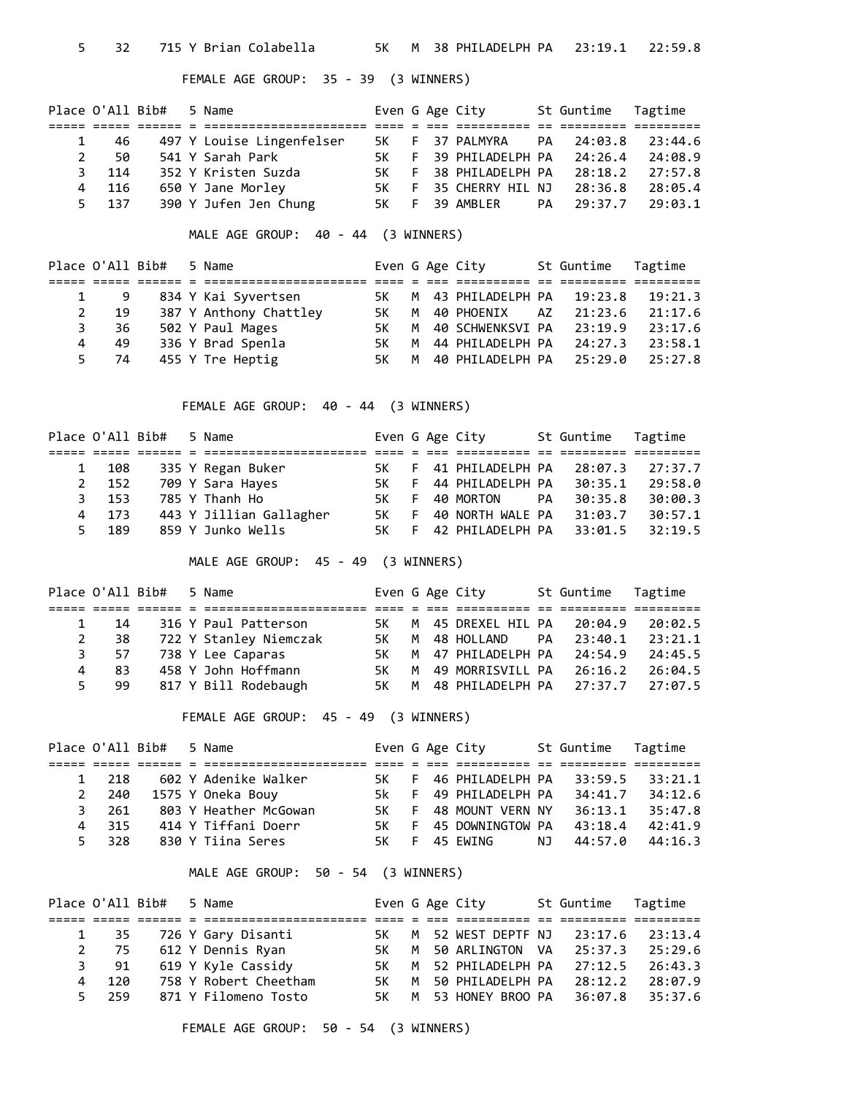# FEMALE AGE GROUP: 35 - 39 (3 WINNERS)

|    | Place O'All Bib# |  | 5 Name                    |      |  | Even G Age City            |    | St Guntime | Tagtime |
|----|------------------|--|---------------------------|------|--|----------------------------|----|------------|---------|
|    |                  |  |                           |      |  |                            |    |            |         |
|    | 46               |  | 497 Y Louise Lingenfelser | 5K - |  | F 37 PALMYRA               |    | PA 24:03.8 | 23:44.6 |
|    | 50               |  | 541 Y Sarah Park          | 5K - |  | F 39 PHILADELPH PA 24:26.4 |    |            | 24:08.9 |
| 3. | 114              |  | 352 Y Kristen Suzda       | 5K - |  | F 38 PHILADELPH PA         |    | 28:18.2    | 27:57.8 |
| 4  | 116              |  | 650 Y Jane Morley         | 5K - |  | F 35 CHERRY HIL NJ 28:36.8 |    |            | 28:05.4 |
|    | 5 137            |  | 390 Y Jufen Jen Chung     | 5K – |  | F 39 AMBLER                | PA | 29:37.7    | 29:03.1 |

MALE AGE GROUP: 40 - 44 (3 WINNERS)

| Place O'All Bib# |     |  | 5 Name                 |      |  | Even G Age City            |    | St Guntime Tagtime |         |
|------------------|-----|--|------------------------|------|--|----------------------------|----|--------------------|---------|
|                  |     |  |                        |      |  |                            |    |                    |         |
|                  | - 9 |  | 834 Y Kai Syvertsen    | 5K - |  | M 43 PHILADELPH PA 19:23.8 |    |                    | 19:21.3 |
|                  | 19  |  | 387 Y Anthony Chattley | 5K - |  | M 40 PHOENIX               | AZ | 21:23.6            | 21:17.6 |
|                  | 36  |  | 502 Y Paul Mages       | 5K - |  | M 40 SCHWENKSVI PA 23:19.9 |    |                    | 23:17.6 |
| 4                | 49  |  | 336 Y Brad Spenla      | 5K - |  | M 44 PHILADELPH PA 24:27.3 |    |                    | 23:58.1 |
| 5.               | 74  |  | 455 Y Tre Heptig       | 5K - |  | M 40 PHILADELPH PA 25:29.0 |    |                    | 25:27.8 |

FEMALE AGE GROUP: 40 - 44 (3 WINNERS)

|              |           | Place O'All Bib# | 5 Name                  |      |    | Even G Age City            |     | St Guntime Tagtime |         |
|--------------|-----------|------------------|-------------------------|------|----|----------------------------|-----|--------------------|---------|
|              |           |                  |                         |      |    |                            |     |                    |         |
| $\mathbf{1}$ | 108       |                  | 335 Y Regan Buker       | 5K - |    | F 41 PHILADELPH PA 28:07.3 |     |                    | 27:37.7 |
|              | 2 152     |                  | 709 Y Sara Hayes        | 5K - |    | F 44 PHILADELPH PA         |     | 30:35.1            | 29:58.0 |
|              | 153<br>3. |                  | 785 Y Thanh Ho          | 5K - |    | F 40 MORTON                | PA. | 30:35.8            | 30:00.3 |
| 4            | 173       |                  | 443 Y Jillian Gallagher | 5K - | E. | 40 NORTH WALE PA 31:03.7   |     |                    | 30:57.1 |
| 5.           | 189       |                  | 859 Y Junko Wells       | 5K - |    | F 42 PHILADELPH PA         |     | 33:01.5            | 32:19.5 |

MALE AGE GROUP: 45 - 49 (3 WINNERS)

|              |           | Place O'All Bib# 5 Name |                        |      |  | Even G Age City            |    | St Guntime Tagtime |         |
|--------------|-----------|-------------------------|------------------------|------|--|----------------------------|----|--------------------|---------|
|              |           |                         |                        |      |  |                            |    |                    |         |
| $\mathbf{1}$ | 14        |                         | 316 Y Paul Patterson   | 5K - |  | M 45 DREXEL HIL PA 20:04.9 |    |                    | 20:02.5 |
| 2            | 38        |                         | 722 Y Stanley Niemczak | 5K - |  | M 48 HOLLAND               | PA | 23:40.1            | 23:21.1 |
|              | 3<br>- 57 |                         | 738 Y Lee Caparas      | 5K - |  | M 47 PHILADELPH PA 24:54.9 |    |                    | 24:45.5 |
| 4            | 83.       |                         | 458 Y John Hoffmann    | 5K - |  | M 49 MORRISVILL PA 26:16.2 |    |                    | 26:04.5 |
| 5.           | 99        |                         | 817 Y Bill Rodebaugh   | 5K - |  | M 48 PHILADELPH PA 27:37.7 |    |                    | 27:07.5 |

FEMALE AGE GROUP: 45 - 49 (3 WINNERS)

| Place O'All Bib# |  | 5 Name                |  | Even G Age City               |     | St Guntime Tagtime |         |
|------------------|--|-----------------------|--|-------------------------------|-----|--------------------|---------|
|                  |  |                       |  |                               |     |                    |         |
| 1 218            |  | 602 Y Adenike Walker  |  | 5K F 46 PHILADELPH PA 33:59.5 |     |                    | 33:21.1 |
| 2 240            |  | 1575 Y Oneka Bouy     |  | 5k F 49 PHILADELPH PA         |     | 34:41.7            | 34:12.6 |
| 3 261            |  | 803 Y Heather McGowan |  | 5K F 48 MOUNT VERN NY         |     | 36:13.1            | 35:47.8 |
| 4 315            |  | 414 Y Tiffani Doerr   |  | 5K F 45 DOWNINGTOW PA         |     | 43:18.4            | 42:41.9 |
| 5 328            |  | 830 Y Tiina Seres     |  | 5K F 45 FWTNG                 | NJ. | 44:57.0            | 44:16.3 |

MALE AGE GROUP: 50 - 54 (3 WINNERS)

|       | Place O'All Bib# | 5 Name                  |      |  | Even G Age City                       | St Guntime Tagtime |         |
|-------|------------------|-------------------------|------|--|---------------------------------------|--------------------|---------|
|       |                  |                         |      |  |                                       |                    |         |
|       |                  | 1 35 726 Y Gary Disanti |      |  | 5K M 52 WEST DEPTF NJ 23:17.6 23:13.4 |                    |         |
| 2 75  |                  | 612 Y Dennis Ryan       | 5K - |  | M 50 ARLINGTON VA 25:37.3             |                    | 25:29.6 |
| 3 91  |                  | 619 Y Kyle Cassidy      |      |  | 5K M 52 PHILADELPH PA 27:12.5         |                    | 26:43.3 |
| 4 120 |                  | 758 Y Robert Cheetham   | 5K - |  | M 50 PHILADELPH PA                    | 28:12.2            | 28:07.9 |
| 5 259 |                  | 871 Y Filomeno Tosto    |      |  | 5K M 53 HONEY BROO PA 36:07.8 35:37.6 |                    |         |

FEMALE AGE GROUP: 50 - 54 (3 WINNERS)